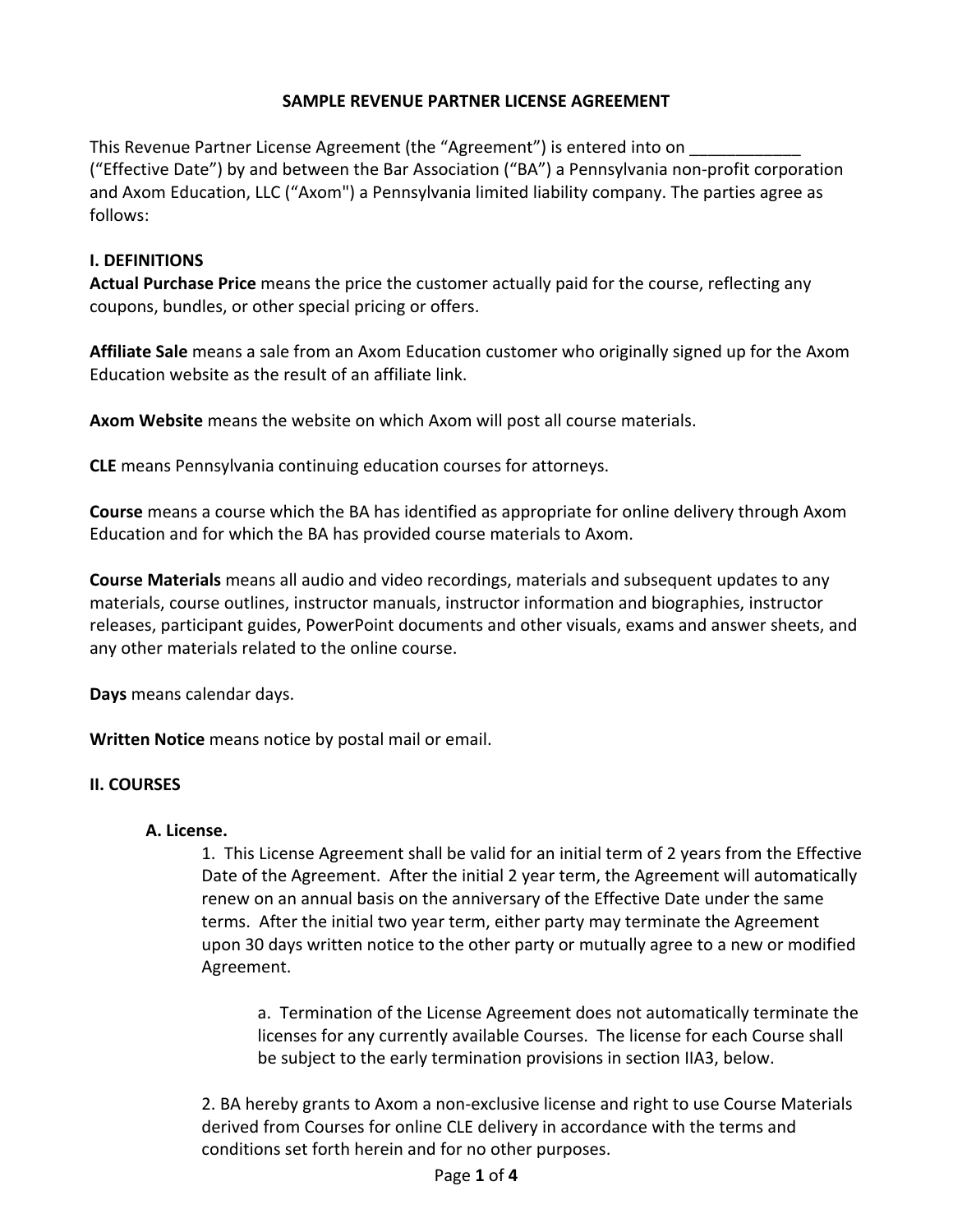# **SAMPLE REVENUE PARTNER LICENSE AGREEMENT**

This Revenue Partner License Agreement (the "Agreement") is entered into on ("Effective Date") by and between the Bar Association ("BA") a Pennsylvania non‐profit corporation and Axom Education, LLC ("Axom") a Pennsylvania limited liability company. The parties agree as follows:

# **I. DEFINITIONS**

**Actual Purchase Price** means the price the customer actually paid for the course, reflecting any coupons, bundles, or other special pricing or offers.

**Affiliate Sale** means a sale from an Axom Education customer who originally signed up for the Axom Education website as the result of an affiliate link.

**Axom Website** means the website on which Axom will post all course materials.

**CLE** means Pennsylvania continuing education courses for attorneys.

**Course** means a course which the BA has identified as appropriate for online delivery through Axom Education and for which the BA has provided course materials to Axom.

**Course Materials** means all audio and video recordings, materials and subsequent updates to any materials, course outlines, instructor manuals, instructor information and biographies, instructor releases, participant guides, PowerPoint documents and other visuals, exams and answer sheets, and any other materials related to the online course.

**Days** means calendar days.

**Written Notice** means notice by postal mail or email.

# **II. COURSES**

# **A. License.**

1. This License Agreement shall be valid for an initial term of 2 years from the Effective Date of the Agreement. After the initial 2 year term, the Agreement will automatically renew on an annual basis on the anniversary of the Effective Date under the same terms. After the initial two year term, either party may terminate the Agreement upon 30 days written notice to the other party or mutually agree to a new or modified Agreement.

 a. Termination of the License Agreement does not automatically terminate the licenses for any currently available Courses. The license for each Course shall be subject to the early termination provisions in section IIA3, below.

2. BA hereby grants to Axom a non‐exclusive license and right to use Course Materials derived from Courses for online CLE delivery in accordance with the terms and conditions set forth herein and for no other purposes.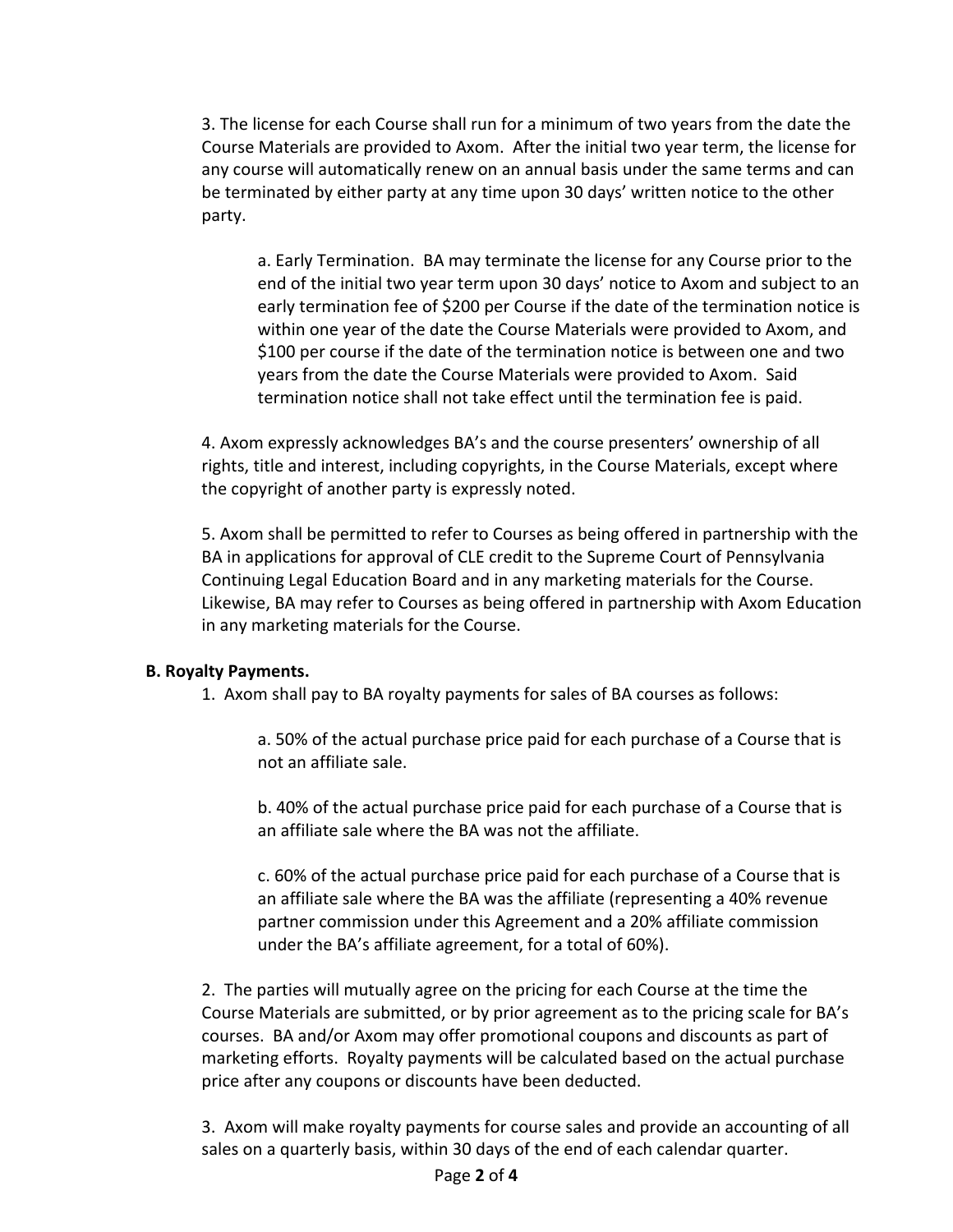3. The license for each Course shall run for a minimum of two years from the date the Course Materials are provided to Axom. After the initial two year term, the license for any course will automatically renew on an annual basis under the same terms and can be terminated by either party at any time upon 30 days' written notice to the other party.

a. Early Termination. BA may terminate the license for any Course prior to the end of the initial two year term upon 30 days' notice to Axom and subject to an early termination fee of \$200 per Course if the date of the termination notice is within one year of the date the Course Materials were provided to Axom, and \$100 per course if the date of the termination notice is between one and two years from the date the Course Materials were provided to Axom. Said termination notice shall not take effect until the termination fee is paid.

4. Axom expressly acknowledges BA's and the course presenters' ownership of all rights, title and interest, including copyrights, in the Course Materials, except where the copyright of another party is expressly noted.

5. Axom shall be permitted to refer to Courses as being offered in partnership with the BA in applications for approval of CLE credit to the Supreme Court of Pennsylvania Continuing Legal Education Board and in any marketing materials for the Course. Likewise, BA may refer to Courses as being offered in partnership with Axom Education in any marketing materials for the Course.

# **B. Royalty Payments.**

1. Axom shall pay to BA royalty payments for sales of BA courses as follows:

a. 50% of the actual purchase price paid for each purchase of a Course that is not an affiliate sale.

b. 40% of the actual purchase price paid for each purchase of a Course that is an affiliate sale where the BA was not the affiliate.

c. 60% of the actual purchase price paid for each purchase of a Course that is an affiliate sale where the BA was the affiliate (representing a 40% revenue partner commission under this Agreement and a 20% affiliate commission under the BA's affiliate agreement, for a total of 60%).

2. The parties will mutually agree on the pricing for each Course at the time the Course Materials are submitted, or by prior agreement as to the pricing scale for BA's courses. BA and/or Axom may offer promotional coupons and discounts as part of marketing efforts. Royalty payments will be calculated based on the actual purchase price after any coupons or discounts have been deducted.

3. Axom will make royalty payments for course sales and provide an accounting of all sales on a quarterly basis, within 30 days of the end of each calendar quarter.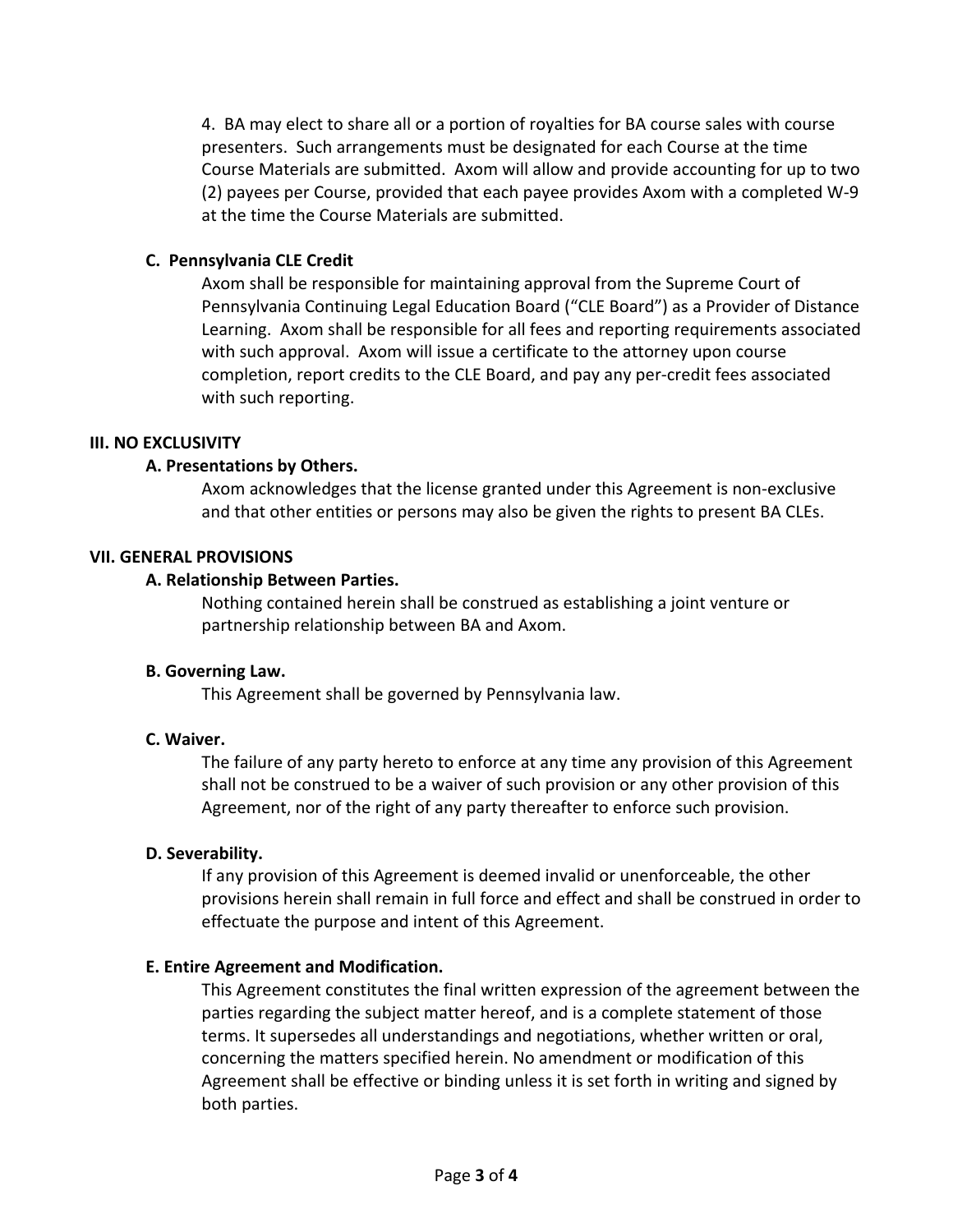4. BA may elect to share all or a portion of royalties for BA course sales with course presenters. Such arrangements must be designated for each Course at the time Course Materials are submitted. Axom will allow and provide accounting for up to two (2) payees per Course, provided that each payee provides Axom with a completed W‐9 at the time the Course Materials are submitted.

## **C. Pennsylvania CLE Credit**

Axom shall be responsible for maintaining approval from the Supreme Court of Pennsylvania Continuing Legal Education Board ("CLE Board") as a Provider of Distance Learning. Axom shall be responsible for all fees and reporting requirements associated with such approval. Axom will issue a certificate to the attorney upon course completion, report credits to the CLE Board, and pay any per‐credit fees associated with such reporting.

#### **III. NO EXCLUSIVITY**

## **A. Presentations by Others.**

Axom acknowledges that the license granted under this Agreement is non‐exclusive and that other entities or persons may also be given the rights to present BA CLEs.

#### **VII. GENERAL PROVISIONS**

#### **A. Relationship Between Parties.**

Nothing contained herein shall be construed as establishing a joint venture or partnership relationship between BA and Axom.

#### **B. Governing Law.**

This Agreement shall be governed by Pennsylvania law.

#### **C. Waiver.**

The failure of any party hereto to enforce at any time any provision of this Agreement shall not be construed to be a waiver of such provision or any other provision of this Agreement, nor of the right of any party thereafter to enforce such provision.

#### **D. Severability.**

If any provision of this Agreement is deemed invalid or unenforceable, the other provisions herein shall remain in full force and effect and shall be construed in order to effectuate the purpose and intent of this Agreement.

## **E. Entire Agreement and Modification.**

This Agreement constitutes the final written expression of the agreement between the parties regarding the subject matter hereof, and is a complete statement of those terms. It supersedes all understandings and negotiations, whether written or oral, concerning the matters specified herein. No amendment or modification of this Agreement shall be effective or binding unless it is set forth in writing and signed by both parties.